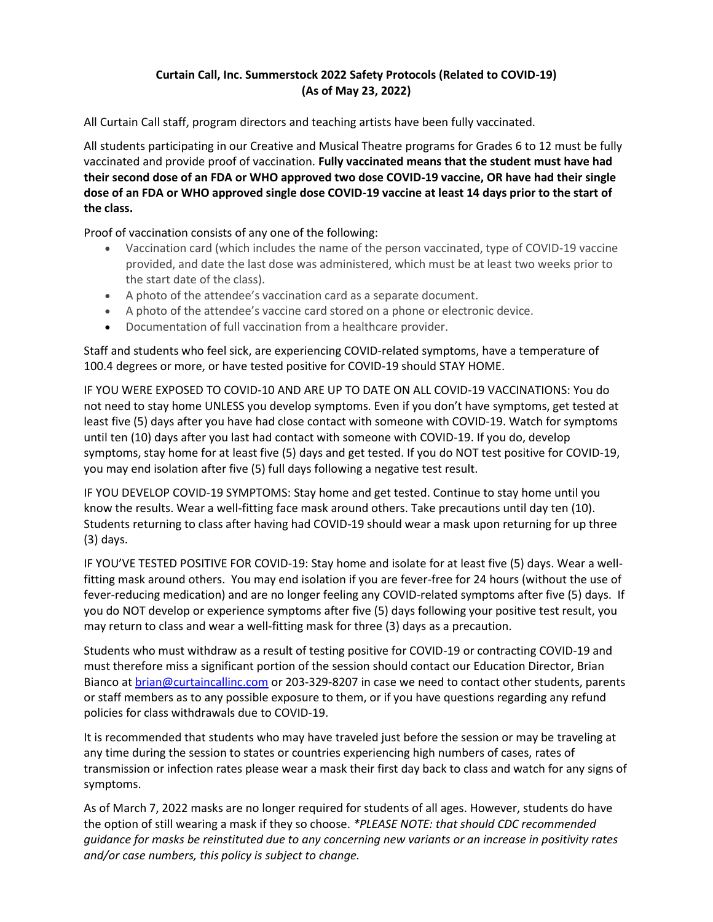## **Curtain Call, Inc. Summerstock 2022 Safety Protocols (Related to COVID-19) (As of May 23, 2022)**

All Curtain Call staff, program directors and teaching artists have been fully vaccinated.

All students participating in our Creative and Musical Theatre programs for Grades 6 to 12 must be fully vaccinated and provide proof of vaccination. **Fully vaccinated means that the student must have had their second dose of an FDA or WHO approved two dose COVID-19 vaccine, OR have had their single dose of an FDA or WHO approved single dose COVID-19 vaccine at least 14 days prior to the start of the class.**

Proof of vaccination consists of any one of the following:

- Vaccination card (which includes the name of the person vaccinated, type of COVID-19 vaccine provided, and date the last dose was administered, which must be at least two weeks prior to the start date of the class).
- A photo of the attendee's vaccination card as a separate document.
- A photo of the attendee's vaccine card stored on a phone or electronic device.
- Documentation of full vaccination from a healthcare provider.

Staff and students who feel sick, are experiencing COVID-related symptoms, have a temperature of 100.4 degrees or more, or have tested positive for COVID-19 should STAY HOME.

IF YOU WERE EXPOSED TO COVID-10 AND ARE UP TO DATE ON ALL COVID-19 VACCINATIONS: You do not need to stay home UNLESS you develop symptoms. Even if you don't have symptoms, get tested at least five (5) days after you have had close contact with someone with COVID-19. Watch for symptoms until ten (10) days after you last had contact with someone with COVID-19. If you do, develop symptoms, stay home for at least five (5) days and get tested. If you do NOT test positive for COVID-19, you may end isolation after five (5) full days following a negative test result.

IF YOU DEVELOP COVID-19 SYMPTOMS: Stay home and get tested. Continue to stay home until you know the results. Wear a well-fitting face mask around others. Take precautions until day ten (10). Students returning to class after having had COVID-19 should wear a mask upon returning for up three (3) days.

IF YOU'VE TESTED POSITIVE FOR COVID-19: Stay home and isolate for at least five (5) days. Wear a wellfitting mask around others. You may end isolation if you are fever-free for 24 hours (without the use of fever-reducing medication) and are no longer feeling any COVID-related symptoms after five (5) days. If you do NOT develop or experience symptoms after five (5) days following your positive test result, you may return to class and wear a well-fitting mask for three (3) days as a precaution.

Students who must withdraw as a result of testing positive for COVID-19 or contracting COVID-19 and must therefore miss a significant portion of the session should contact our Education Director, Brian Bianco at [brian@curtaincallinc.com](mailto:brian@curtaincallinc.com) or 203-329-8207 in case we need to contact other students, parents or staff members as to any possible exposure to them, or if you have questions regarding any refund policies for class withdrawals due to COVID-19.

It is recommended that students who may have traveled just before the session or may be traveling at any time during the session to states or countries experiencing high numbers of cases, rates of transmission or infection rates please wear a mask their first day back to class and watch for any signs of symptoms.

As of March 7, 2022 masks are no longer required for students of all ages. However, students do have the option of still wearing a mask if they so choose. *\*PLEASE NOTE: that should CDC recommended guidance for masks be reinstituted due to any concerning new variants or an increase in positivity rates and/or case numbers, this policy is subject to change.*